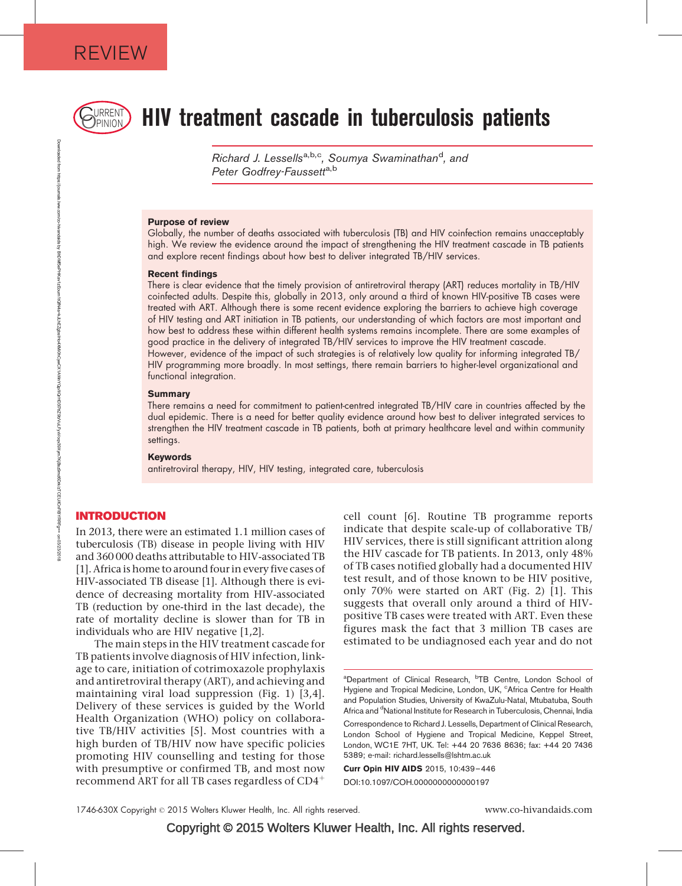

# $\mathbb{R}_{\text{PINION}}$  HIV treatment cascade in tuberculosis patients

Richard J. Lessells<sup>a,b,c</sup>, Soumya Swaminathan<sup>d</sup>, and Peter Godfrev-Faussett<sup>a,b</sup>

#### Purpose of review

Globally, the number of deaths associated with tuberculosis (TB) and HIV coinfection remains unacceptably high. We review the evidence around the impact of strengthening the HIV treatment cascade in TB patients and explore recent findings about how best to deliver integrated TB/HIV services.

#### Recent findings

There is clear evidence that the timely provision of antiretroviral therapy (ART) reduces mortality in TB/HIV coinfected adults. Despite this, globally in 2013, only around a third of known HIV-positive TB cases were treated with ART. Although there is some recent evidence exploring the barriers to achieve high coverage of HIV testing and ART initiation in TB patients, our understanding of which factors are most important and how best to address these within different health systems remains incomplete. There are some examples of good practice in the delivery of integrated TB/HIV services to improve the HIV treatment cascade. However, evidence of the impact of such strategies is of relatively low quality for informing integrated TB/ HIV programming more broadly. In most settings, there remain barriers to higher-level organizational and functional integration.

#### **Summary**

There remains a need for commitment to patient-centred integrated TB/HIV care in countries affected by the dual epidemic. There is a need for better quality evidence around how best to deliver integrated services to strengthen the HIV treatment cascade in TB patients, both at primary healthcare level and within community settings.

#### Keywords

antiretroviral therapy, HIV, HIV testing, integrated care, tuberculosis

#### INTRODUCTION

In 2013, there were an estimated 1.1 million cases of tuberculosis (TB) disease in people living with HIV and 360 000 deaths attributable to HIV-associated TB [\[1\]](#page-5-0). Africa is home to around four in every five cases of HIV-associated TB disease [\[1\]](#page-5-0). Although there is evidence of decreasing mortality from HIV-associated TB (reduction by one-third in the last decade), the rate of mortality decline is slower than for TB in individuals who are HIV negative [\[1,2\]](#page-5-0).

The main steps in the HIV treatment cascade for TB patients involve diagnosis of HIV infection, linkage to care, initiation of cotrimoxazole prophylaxis and antiretroviral therapy (ART), and achieving and maintaining viral load suppression (Fig. 1) [\[3,4\]](#page-6-0). Delivery of these services is guided by the World Health Organization (WHO) policy on collaborative TB/HIV activities [\[5\]](#page-6-0). Most countries with a high burden of TB/HIV now have specific policies promoting HIV counselling and testing for those with presumptive or confirmed TB, and most now recommend ART for all TB cases regardless of  $CD4^+$ 

cell count [\[6\].](#page-6-0) Routine TB programme reports indicate that despite scale-up of collaborative TB/ HIV services, there is still significant attrition along the HIV cascade for TB patients. In 2013, only 48% of TB cases notified globally had a documented HIV test result, and of those known to be HIV positive, only 70% were started on ART (Fig. 2) [\[1\].](#page-5-0) This suggests that overall only around a third of HIVpositive TB cases were treated with ART. Even these figures mask the fact that 3 million TB cases are estimated to be undiagnosed each year and do not

Curr Opin HIV AIDS 2015, 10:439–446 DOI:10.1097/COH.0000000000000197

1746-630X Copyright 2015 Wolters Kluwer Health, Inc. All rights reserved. www.co-hivandaids.com

Copyright © 2015 Wolters Kluwer Health, Inc. All rights reserved.

<sup>&</sup>lt;sup>a</sup>Department of Clinical Research, <sup>b</sup>TB Centre, London School of Hygiene and Tropical Medicine, London, UK, <sup>c</sup>Africa Centre for Health and Population Studies, University of KwaZulu-Natal, Mtubatuba, South Africa and <sup>d</sup>National Institute for Research in Tuberculosis, Chennai, India

Correspondence to Richard J. Lessells, Department of Clinical Research, London School of Hygiene and Tropical Medicine, Keppel Street, London, WC1E 7HT, UK. Tel: +44 20 7636 8636; fax: +44 20 7436 5389; e-mail: [richard.lessells@lshtm.ac.uk](mailto:richard.lessells@lshtm.ac.uk)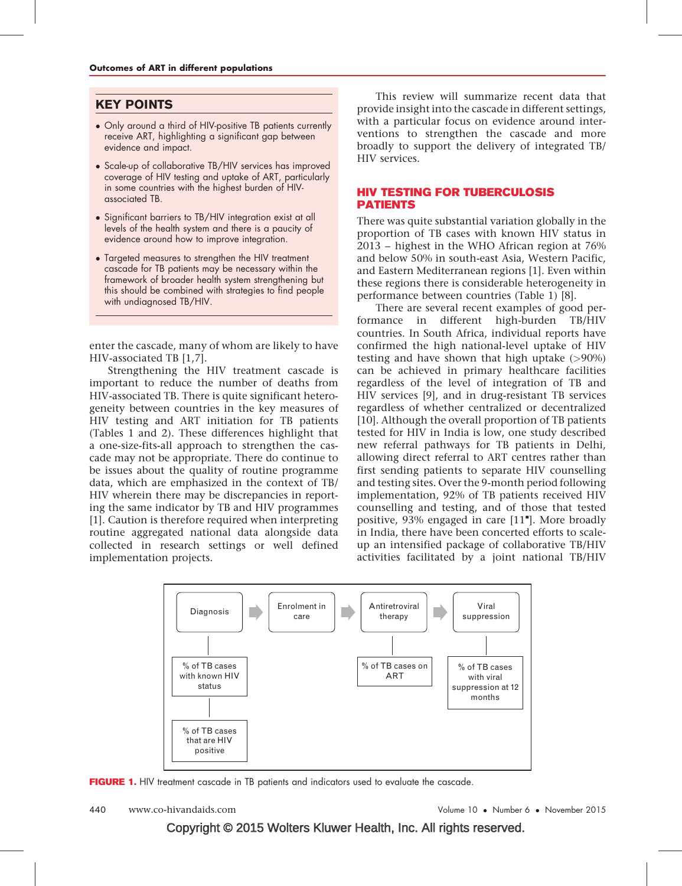## KEY POINTS

- Only around a third of HIV-positive TB patients currently receive ART, highlighting a significant gap between evidence and impact.
- Scale-up of collaborative TB/HIV services has improved coverage of HIV testing and uptake of ART, particularly in some countries with the highest burden of HIVassociated TB.
- Significant barriers to TB/HIV integration exist at all levels of the health system and there is a paucity of evidence around how to improve integration.
- Targeted measures to strengthen the HIV treatment cascade for TB patients may be necessary within the framework of broader health system strengthening but this should be combined with strategies to find people with undiagnosed TB/HIV.

enter the cascade, many of whom are likely to have HIV-associated TB [\[1,7\]](#page-5-0).

Strengthening the HIV treatment cascade is important to reduce the number of deaths from HIV-associated TB. There is quite significant heterogeneity between countries in the key measures of HIV testing and ART initiation for TB patients (Tables 1 and 2). These differences highlight that a one-size-fits-all approach to strengthen the cascade may not be appropriate. There do continue to be issues about the quality of routine programme data, which are emphasized in the context of TB/ HIV wherein there may be discrepancies in reporting the same indicator by TB and HIV programmes [\[1\]](#page-5-0). Caution is therefore required when interpreting routine aggregated national data alongside data collected in research settings or well defined implementation projects.

This review will summarize recent data that provide insight into the cascade in different settings, with a particular focus on evidence around interventions to strengthen the cascade and more broadly to support the delivery of integrated TB/ HIV services.

#### HIV TESTING FOR TUBERCULOSIS PATIENTS

There was quite substantial variation globally in the proportion of TB cases with known HIV status in 2013 – highest in the WHO African region at 76% and below 50% in south-east Asia, Western Pacific, and Eastern Mediterranean regions [\[1\].](#page-5-0) Even within these regions there is considerable heterogeneity in performance between countries (Table 1) [\[8\].](#page-6-0)

There are several recent examples of good performance in different high-burden TB/HIV countries. In South Africa, individual reports have confirmed the high national-level uptake of HIV testing and have shown that high uptake  $(>90\%)$ can be achieved in primary healthcare facilities regardless of the level of integration of TB and HIV services [\[9\]](#page-6-0), and in drug-resistant TB services regardless of whether centralized or decentralized [\[10\].](#page-6-0) Although the overall proportion of TB patients tested for HIV in India is low, one study described new referral pathways for TB patients in Delhi, allowing direct referral to ART centres rather than first sending patients to separate HIV counselling and testing sites. Over the 9-month period following implementation, 92% of TB patients received HIV counselling and testing, and of those that tested positive, 93% engaged in care [\[11](#page-6-0)"[\]](#page-6-0). More broadly in India, there have been concerted efforts to scaleup an intensified package of collaborative TB/HIV activities facilitated by a joint national TB/HIV



FIGURE 1. HIV treatment cascade in TB patients and indicators used to evaluate the cascade.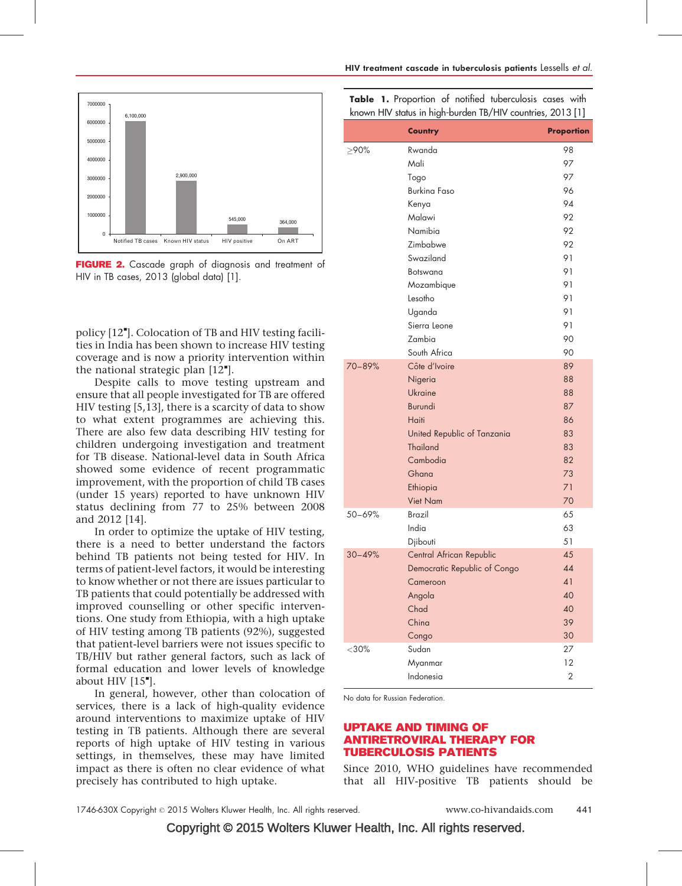

FIGURE 2. Cascade graph of diagnosis and treatment of HIV in TB cases, 2013 (global data) [\[1\].](#page-5-0)

policy [\[12](#page-6-0)"[\].](#page-6-0) Colocation of TB and HIV testing facilities in India has been shown to increase HIV testing coverage and is now a priority intervention within the national strategic plan  $[12^{\bullet}].$  $[12^{\bullet}].$  $[12^{\bullet}].$  $[12^{\bullet}].$ 

Despite calls to move testing upstream and ensure that all people investigated for TB are offered HIV testing [\[5,13\],](#page-6-0) there is a scarcity of data to show to what extent programmes are achieving this. There are also few data describing HIV testing for children undergoing investigation and treatment for TB disease. National-level data in South Africa showed some evidence of recent programmatic improvement, with the proportion of child TB cases (under 15 years) reported to have unknown HIV status declining from 77 to 25% between 2008 and 2012 [\[14\]](#page-6-0).

In order to optimize the uptake of HIV testing, there is a need to better understand the factors behind TB patients not being tested for HIV. In terms of patient-level factors, it would be interesting to know whether or not there are issues particular to TB patients that could potentially be addressed with improved counselling or other specific interventions. One study from Ethiopia, with a high uptake of HIV testing among TB patients (92%), suggested that patient-level barriers were not issues specific to TB/HIV but rather general factors, such as lack of formal education and lower levels of knowledge about HIV  $[15$ <sup>"</sup>[\].](#page-6-0)

In general, however, other than colocation of services, there is a lack of high-quality evidence around interventions to maximize uptake of HIV testing in TB patients. Although there are several reports of high uptake of HIV testing in various settings, in themselves, these may have limited impact as there is often no clear evidence of what precisely has contributed to high uptake.

|  |  | <b>Table 1.</b> Proportion of notified tuberculosis cases with |  |
|--|--|----------------------------------------------------------------|--|
|  |  | known HIV status in high-burden TB/HIV countries, 2013 [1]     |  |

|            | <b>Country</b>               | <b>Proportion</b> |
|------------|------------------------------|-------------------|
| $\geq$ 90% | Rwanda                       | 98                |
|            | Mali                         | 97                |
|            | Togo                         | 97                |
|            | <b>Burking Faso</b>          | 96                |
|            | Kenya                        | 94                |
|            | Malawi                       | 92                |
|            | Namibia                      | 92                |
|            | Zimbabwe                     | 92                |
|            | Swaziland                    | 91                |
|            | Botswana                     | 91                |
|            | Mozambique                   | 91                |
|            | Lesotho                      | 91                |
|            | Uganda                       | 91                |
|            | Sierra Leone                 | 91                |
|            | Zambia                       | 90                |
|            | South Africa                 | 90                |
| 70-89%     | Côte d'Ivoire                | 89                |
|            | Nigeria                      | 88                |
|            | Ukraine                      | 88                |
|            | <b>Burundi</b>               | 87                |
|            | Haiti                        | 86                |
|            | United Republic of Tanzania  | 83                |
|            | <b>Thailand</b>              | 83                |
|            | Cambodia                     | 82                |
|            | Ghana                        | 73                |
|            | Ethiopia                     | 71                |
|            | <b>Viet Nam</b>              | 70                |
| 50-69%     | <b>Brazil</b>                | 65                |
|            | India                        | 63                |
|            | Djibouti                     | 51                |
| $30 - 49%$ | Central African Republic     | 45                |
|            | Democratic Republic of Congo | 44                |
|            | Cameroon                     | 41                |
|            | Angola                       | 40                |
|            | Chad                         | 40                |
|            | China                        | 39                |
|            | Congo                        | 30                |
| $<$ 30%    | Sudan                        | 27                |
|            | Myanmar                      | 12                |
|            | Indonesia                    | $\overline{2}$    |

No data for Russian Federation.

#### UPTAKE AND TIMING OF ANTIRETROVIRAL THERAPY FOR TUBERCULOSIS PATIENTS

Since 2010, WHO guidelines have recommended that all HIV-positive TB patients should be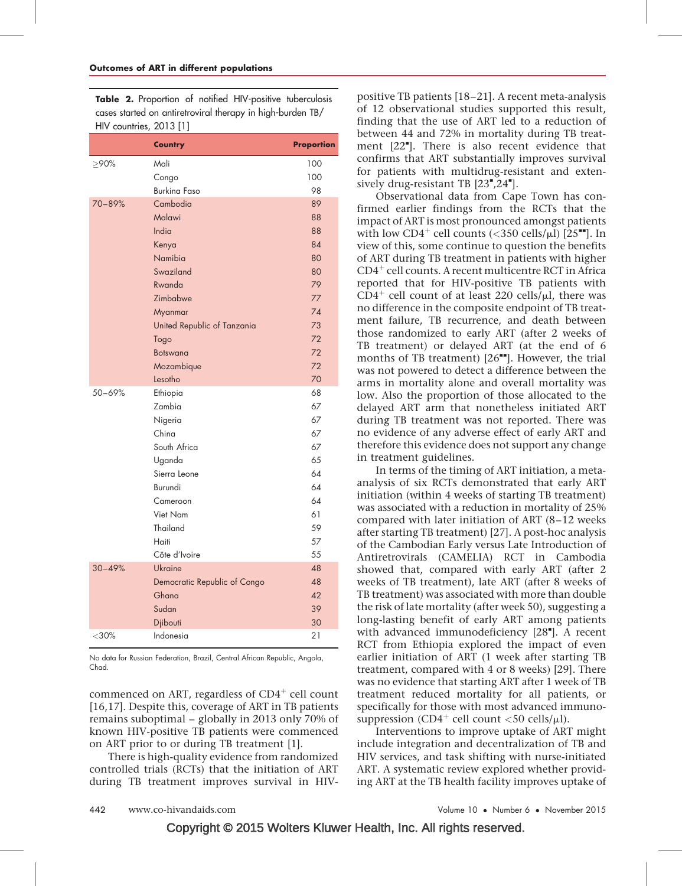Table 2. Proportion of notified HIV-positive tuberculosis cases started on antiretroviral therapy in high-burden TB/ HIV countries, 2013 [\[1\]](#page-5-0)

|            | <b>Country</b>               | <b>Proportion</b> |
|------------|------------------------------|-------------------|
| $>90\%$    | Mali                         | 100               |
|            | Congo                        | 100               |
|            | <b>Burking Faso</b>          | 98                |
| 70-89%     | Cambodia                     | 89                |
|            | Malawi                       | 88                |
|            | India                        | 88                |
|            | Kenya                        | 84                |
|            | Namibia                      | 80                |
|            | Swaziland                    | 80                |
|            | Rwanda                       | 79                |
|            | Zimbabwe                     | 77                |
|            | Myanmar                      | 74                |
|            | United Republic of Tanzania  | 73                |
|            | Togo                         | 72                |
|            | <b>Botswana</b>              | 72                |
|            | Mozambique                   | 72                |
|            | Lesotho                      | 70                |
| 50-69%     | Ethiopia                     | 68                |
|            | Zambia                       | 67                |
|            | Nigeria                      | 67                |
|            | China                        | 67                |
|            | South Africa                 | 67                |
|            | Uganda                       | 65                |
|            | Sierra Leone                 | 64                |
|            | Burundi                      | 64                |
|            | Cameroon                     | 64                |
|            | Viet Nam                     | 61                |
|            | Thailand                     | 59                |
|            | Haiti                        | 57                |
|            | Côte d'Ivoire                | 55                |
| $30 - 49%$ | Ukraine                      | 48                |
|            | Democratic Republic of Congo | 48                |
|            | Ghana                        | 42                |
|            | Sudan                        | 39                |
|            | Djibouti                     | 30                |
| $<30\%$    | Indonesia                    | 21                |

No data for Russian Federation, Brazil, Central African Republic, Angola, Chad.

commenced on ART, regardless of  $CD4^+$  cell count [\[16,17\]](#page-6-0). Despite this, coverage of ART in TB patients remains suboptimal – globally in 2013 only 70% of known HIV-positive TB patients were commenced on ART prior to or during TB treatment [\[1\]](#page-5-0).

There is high-quality evidence from randomized controlled trials (RCTs) that the initiation of ART during TB treatment improves survival in HIV- positive TB patients [\[18–21\].](#page-6-0) A recent meta-analysis of 12 observational studies supported this result, finding that the use of ART led to a reduction of between 44 and 72% in mortality during TB treat-ment [\[22](#page-6-0)"[\]](#page-6-0). There is also recent evidence that confirms that ART substantially improves survival for patients with multidrug-resistant and extensively drug-resistant TB  $[23", 24"$  $[23", 24"$ [\]](#page-6-0).

Observational data from Cape Town has confirmed earlier findings from the RCTs that the impact of ART is most pronounced amongst patients with low CD4<sup>+</sup> cell counts (<350 cells/ $\mu$ l) [\[25](#page-6-0)<sup> $\blacksquare$ </sup>[\]](#page-6-0). In view of this, some continue to question the benefits of ART during TB treatment in patients with higher  $CD4^+$  cell counts. A recent multicentre RCT in Africa reported that for HIV-positive TB patients with  $CD4^+$  cell count of at least 220 cells/ $\mu$ l, there was no difference in the composite endpoint of TB treatment failure, TB recurrence, and death between those randomized to early ART (after 2 weeks of TB treatment) or delayed ART (at the end of 6 months of TB treatment)  $[26$ <sup> $\blacksquare$ </sup>. However, the trial was not powered to detect a difference between the arms in mortality alone and overall mortality was low. Also the proportion of those allocated to the delayed ART arm that nonetheless initiated ART during TB treatment was not reported. There was no evidence of any adverse effect of early ART and therefore this evidence does not support any change in treatment guidelines.

In terms of the timing of ART initiation, a metaanalysis of six RCTs demonstrated that early ART initiation (within 4 weeks of starting TB treatment) was associated with a reduction in mortality of 25% compared with later initiation of ART (8–12 weeks after starting TB treatment) [\[27\]](#page-6-0). A post-hoc analysis of the Cambodian Early versus Late Introduction of Antiretrovirals (CAMELIA) RCT in Cambodia showed that, compared with early ART (after 2 weeks of TB treatment), late ART (after 8 weeks of TB treatment) was associated with more than double the risk of late mortality (after week 50), suggesting a long-lasting benefit of early ART among patients with advanced immunodeficiency [\[28](#page-6-0)"[\]](#page-6-0). A recent RCT from Ethiopia explored the impact of even earlier initiation of ART (1 week after starting TB treatment, compared with 4 or 8 weeks) [\[29\].](#page-6-0) There was no evidence that starting ART after 1 week of TB treatment reduced mortality for all patients, or specifically for those with most advanced immunosuppression (CD4<sup>+</sup> cell count <50 cells/ $\mu$ l).

Interventions to improve uptake of ART might include integration and decentralization of TB and HIV services, and task shifting with nurse-initiated ART. A systematic review explored whether providing ART at the TB health facility improves uptake of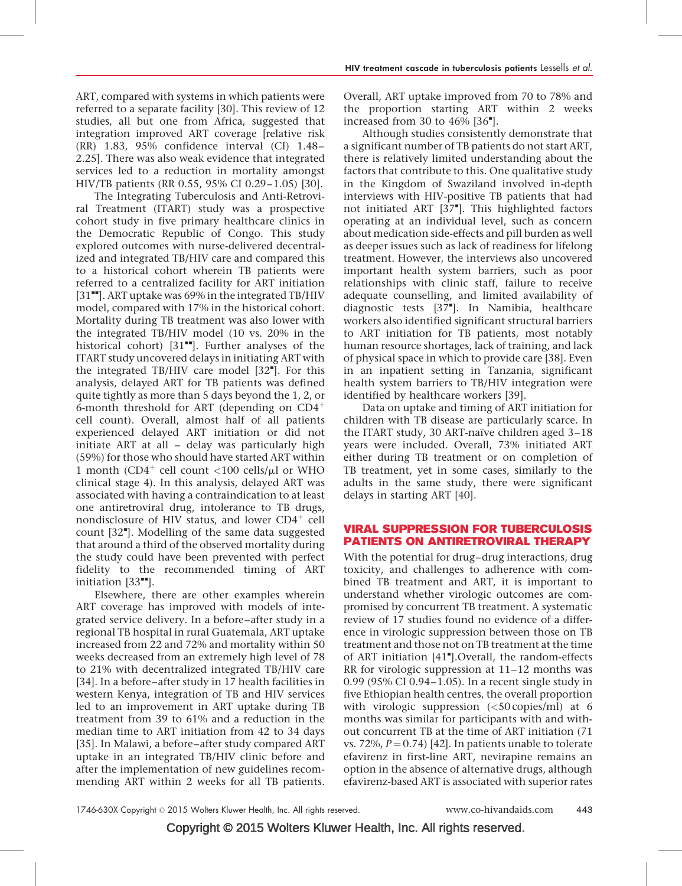ART, compared with systems in which patients were referred to a separate facility [\[30\]](#page-6-0). This review of 12 studies, all but one from Africa, suggested that integration improved ART coverage [relative risk (RR) 1.83, 95% confidence interval (CI) 1.48– 2.25]. There was also weak evidence that integrated services led to a reduction in mortality amongst HIV/TB patients (RR 0.55, 95% CI 0.29–1.05) [\[30\]](#page-6-0).

The Integrating Tuberculosis and Anti-Retroviral Treatment (ITART) study was a prospective cohort study in five primary healthcare clinics in the Democratic Republic of Congo. This study explored outcomes with nurse-delivered decentralized and integrated TB/HIV care and compared this to a historical cohort wherein TB patients were referred to a centralized facility for ART initiation  $[31$ <sup> $H$ </sup>[\]](#page-6-0). ART uptake was 69% in the integrated TB/HIV model, compared with 17% in the historical cohort. Mortality during TB treatment was also lower with the integrated TB/HIV model (10 vs. 20% in the historical cohort)  $[31$ <sup> $H$ </sup>[\].](#page-6-0) Further analyses of the ITART study uncovered delays in initiating ART with the integrated TB/HIV care model [\[32](#page-6-0)"[\]](#page-6-0). For this analysis, delayed ART for TB patients was defined quite tightly as more than 5 days beyond the 1, 2, or 6-month threshold for ART (depending on  $CD4^+$ cell count). Overall, almost half of all patients experienced delayed ART initiation or did not initiate ART at all – delay was particularly high (59%) for those who should have started ART within 1 month (CD4<sup>+</sup> cell count  $\langle 100 \text{ cells/}\mu l \text{ or WHO}$ ) clinical stage 4). In this analysis, delayed ART was associated with having a contraindication to at least one antiretroviral drug, intolerance to TB drugs, nondisclosure of HIV status, and lower  $CD4^+$  cell count [\[32](#page-6-0)"[\].](#page-6-0) Modelling of the same data suggested that around a third of the observed mortality during the study could have been prevented with perfect fidelity to the recommended timing of ART initiation  $[33$ <sup> $\blacksquare$ </sup>[\].](#page-6-0)

Elsewhere, there are other examples wherein ART coverage has improved with models of integrated service delivery. In a before–after study in a regional TB hospital in rural Guatemala, ART uptake increased from 22 and 72% and mortality within 50 weeks decreased from an extremely high level of 78 to 21% with decentralized integrated TB/HIV care [\[34\].](#page-6-0) In a before–after study in 17 health facilities in western Kenya, integration of TB and HIV services led to an improvement in ART uptake during TB treatment from 39 to 61% and a reduction in the median time to ART initiation from 42 to 34 days [\[35\].](#page-6-0) In Malawi, a before–after study compared ART uptake in an integrated TB/HIV clinic before and after the implementation of new guidelines recommending ART within 2 weeks for all TB patients. Overall, ART uptake improved from 70 to 78% and the proportion starting ART within 2 weeks increased from 30 to  $46\%$  [\[36](#page-6-0) $^{\bullet}$ [\]](#page-6-0).

Although studies consistently demonstrate that a significant number of TB patients do not start ART, there is relatively limited understanding about the factors that contribute to this. One qualitative study in the Kingdom of Swaziland involved in-depth interviews with HIV-positive TB patients that had not initiated ART [\[37](#page-6-0)"[\].](#page-6-0) This highlighted factors operating at an individual level, such as concern about medication side-effects and pill burden as well as deeper issues such as lack of readiness for lifelong treatment. However, the interviews also uncovered important health system barriers, such as poor relationships with clinic staff, failure to receive adequate counselling, and limited availability of diagnostic tests [\[37](#page-6-0)"[\].](#page-6-0) In Namibia, healthcare workers also identified significant structural barriers to ART initiation for TB patients, most notably human resource shortages, lack of training, and lack of physical space in which to provide care [\[38\]](#page-6-0). Even in an inpatient setting in Tanzania, significant health system barriers to TB/HIV integration were identified by healthcare workers [\[39\].](#page-6-0)

Data on uptake and timing of ART initiation for children with TB disease are particularly scarce. In the ITART study, 30 ART-naïve children aged  $3-18$ years were included. Overall, 73% initiated ART either during TB treatment or on completion of TB treatment, yet in some cases, similarly to the adults in the same study, there were significant delays in starting ART [\[40\].](#page-6-0)

#### VIRAL SUPPRESSION FOR TUBERCULOSIS PATIENTS ON ANTIRETROVIRAL THERAPY

With the potential for drug–drug interactions, drug toxicity, and challenges to adherence with combined TB treatment and ART, it is important to understand whether virologic outcomes are compromised by concurrent TB treatment. A systematic review of 17 studies found no evidence of a difference in virologic suppression between those on TB treatment and those not on TB treatment at the time of ART initiation [\[41](#page-6-0)"[\]](#page-6-0). Overall, the random-effects RR for virologic suppression at 11–12 months was 0.99 (95% CI 0.94–1.05). In a recent single study in five Ethiopian health centres, the overall proportion with virologic suppression  $(<50 \text{ copies/ml})$  at 6 months was similar for participants with and without concurrent TB at the time of ART initiation (71 vs. 72%,  $P = 0.74$  [\[42\].](#page-6-0) In patients unable to tolerate efavirenz in first-line ART, nevirapine remains an option in the absence of alternative drugs, although efavirenz-based ART is associated with superior rates

Copyright © 2015 Wolters Kluwer Health, Inc. All rights reserved.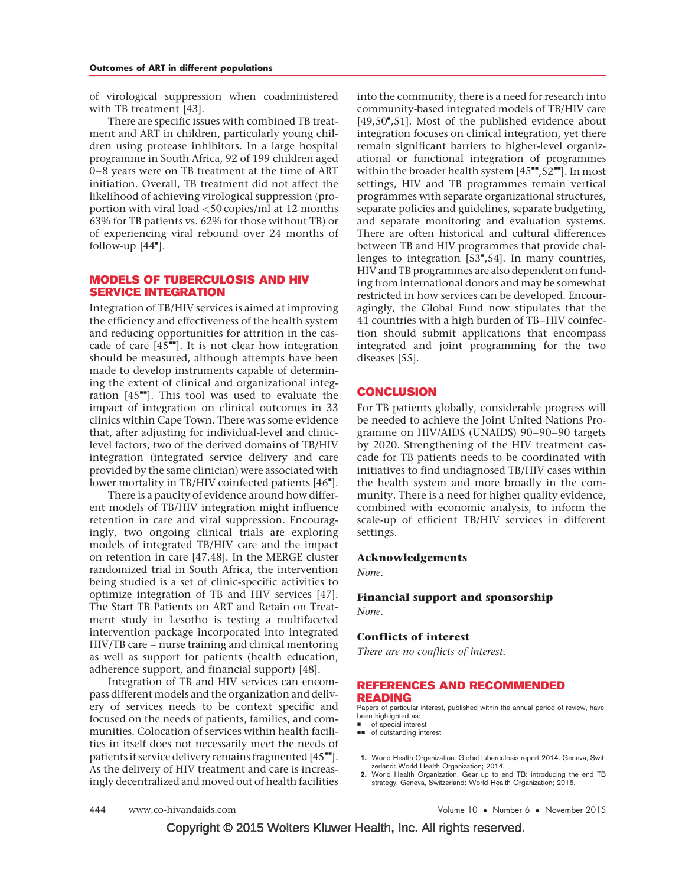<span id="page-5-0"></span>of virological suppression when coadministered with TB treatment [\[43\].](#page-6-0)

There are specific issues with combined TB treatment and ART in children, particularly young children using protease inhibitors. In a large hospital programme in South Africa, 92 of 199 children aged 0–8 years were on TB treatment at the time of ART initiation. Overall, TB treatment did not affect the likelihood of achieving virological suppression (proportion with viral load <50 copies/ml at 12 months 63% for TB patients vs. 62% for those without TB) or of experiencing viral rebound over 24 months of follow-up  $[44$ <sup> $\degree$ </sup>[\].](#page-7-0)

#### MODELS OF TUBERCULOSIS AND HIV SERVICE INTEGRATION

Integration of TB/HIV services is aimed at improving the efficiency and effectiveness of the health system and reducing opportunities for attrition in the cascade of care  $[45$ <sup> $+$ </sup>[\].](#page-7-0) It is not clear how integration should be measured, although attempts have been made to develop instruments capable of determining the extent of clinical and organizational integration  $[45"$  $[45"$ . This tool was used to evaluate the impact of integration on clinical outcomes in 33 clinics within Cape Town. There was some evidence that, after adjusting for individual-level and cliniclevel factors, two of the derived domains of TB/HIV integration (integrated service delivery and care provided by the same clinician) were associated with lower mortality in TB/HIV coinfected patients [\[46](#page-7-0)"[\].](#page-7-0)

There is a paucity of evidence around how different models of TB/HIV integration might influence retention in care and viral suppression. Encouragingly, two ongoing clinical trials are exploring models of integrated TB/HIV care and the impact on retention in care [\[47,48\].](#page-7-0) In the MERGE cluster randomized trial in South Africa, the intervention being studied is a set of clinic-specific activities to optimize integration of TB and HIV services [\[47\].](#page-7-0) The Start TB Patients on ART and Retain on Treatment study in Lesotho is testing a multifaceted intervention package incorporated into integrated HIV/TB care – nurse training and clinical mentoring as well as support for patients (health education, adherence support, and financial support) [\[48\].](#page-7-0)

Integration of TB and HIV services can encompass different models and the organization and delivery of services needs to be context specific and focused on the needs of patients, families, and communities. Colocation of services within health facilities in itself does not necessarily meet the needs of patients if service delivery remains fragmented  $[45"$  $[45"$ . As the delivery of HIV treatment and care is increasingly decentralized and moved out of health facilities

into the community, there is a need for research into community-based integrated models of TB/HIV care [\[49,50](#page-7-0)"[,51\].](#page-7-0) Most of the published evidence about integration focuses on clinical integration, yet there remain significant barriers to higher-level organizational or functional integration of programmes within the broader health system  $[45"$  $[45"$ ,  $52"$ [\].](#page-7-0) In most settings, HIV and TB programmes remain vertical programmes with separate organizational structures, separate policies and guidelines, separate budgeting, and separate monitoring and evaluation systems. There are often historical and cultural differences between TB and HIV programmes that provide challenges to integration  $[53", 54]$  $[53", 54]$ . In many countries, HIV and TB programmes are also dependent on funding from international donors and may be somewhat restricted in how services can be developed. Encouragingly, the Global Fund now stipulates that the 41 countries with a high burden of TB–HIV coinfection should submit applications that encompass integrated and joint programming for the two diseases [\[55\].](#page-7-0)

#### **CONCLUSION**

For TB patients globally, considerable progress will be needed to achieve the Joint United Nations Programme on HIV/AIDS (UNAIDS) 90–90–90 targets by 2020. Strengthening of the HIV treatment cascade for TB patients needs to be coordinated with initiatives to find undiagnosed TB/HIV cases within the health system and more broadly in the community. There is a need for higher quality evidence, combined with economic analysis, to inform the scale-up of efficient TB/HIV services in different settings.

#### Acknowledgements

None.

# Financial support and sponsorship

None.

#### Conflicts of interest

There are no conflicts of interest.

#### REFERENCES AND RECOMMENDED READING

Papers of particular interest, published within the annual period of review, have been highlighted as:

- of special interest
- $\blacksquare$  of outstanding interest
- 1. World Health Organization. Global tuberculosis report 2014. Geneva, Switzerland: World Health Organization; 2014.
- 2. World Health Organization. Gear up to end TB: introducing the end TB strategy. Geneva, Switzerland: World Health Organization; 2015.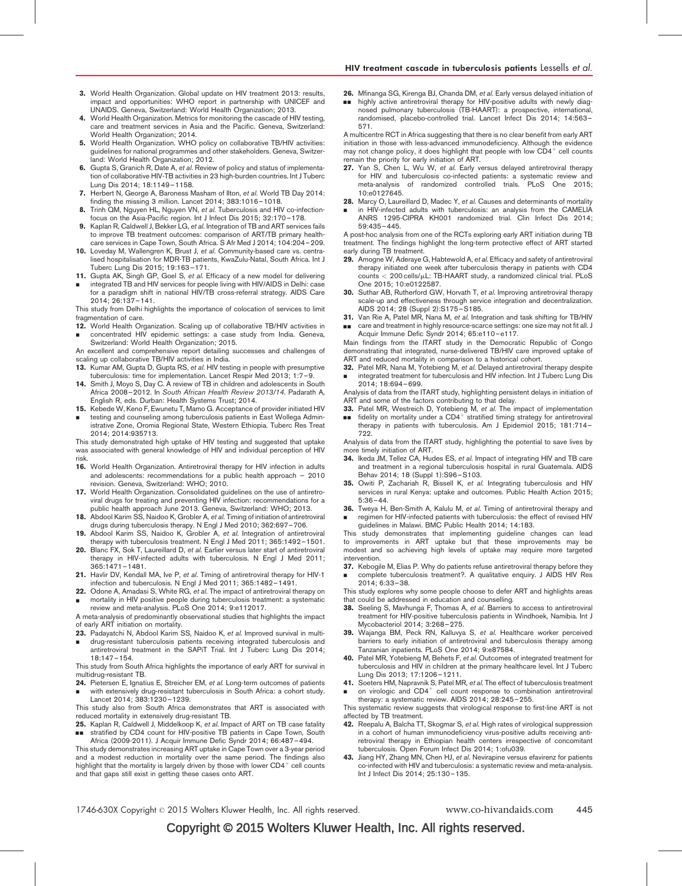- <span id="page-6-0"></span>3. World Health Organization. Global update on HIV treatment 2013: results, impact and opportunities: WHO report in partnership with UNICEF and UNAIDS. Geneva, Switzerland: World Health Organization; 2013.
- 4. World Health Organization. Metrics for monitoring the cascade of HIV testing, care and treatment services in Asia and the Pacific. Geneva, Switzerland: World Health Organization; 2014.
- 5. World Health Organization. WHO policy on collaborative TB/HIV activities: guidelines for national programmes and other stakeholders. Geneva, Switzerland: World Health Organization; 2012.
- 6. Gupta S, Granich R, Date A, et al. Review of policy and status of implementation of collaborative HIV-TB activities in 23 high-burden countries. Int J Tuberc Lung Dis 2014; 18:1149–1158.
- 7. Herbert N, George A, Baroness Masham of Ilton, et al. World TB Day 2014: finding the missing 3 million. Lancet 2014; 383:1016–1018.
- 8. Trinh QM, Nguyen HL, Nguyen VN, et al. Tuberculosis and HIV co-infectionfocus on the Asia-Pacific region. Int J Infect Dis 2015; 32:170–178.
- 9. Kaplan R, Caldwell J, Bekker LG, et al. Integration of TB and ART services fails to improve TB treatment outcomes: comparison of ART/TB primary healthcare services in Cape Town, South Africa. S Afr Med J 2014; 104:204–209.
- 10. Loveday M, Wallengren K, Brust J, et al. Community-based care vs. centralised hospitalisation for MDR-TB patients, KwaZulu-Natal, South Africa. Int J Tuberc Lung Dis 2015; 19:163–171.
- 11. Gupta AK, Singh GP, Goel S, et al. Efficacy of a new model for delivering
- & integrated TB and HIV services for people living with HIV/AIDS in Delhi: case for a paradigm shift in national HIV/TB cross-referral strategy. AIDS Care 2014; 26:137–141.

This study from Delhi highlights the importance of colocation of services to limit fragmentation of care.

- 12. World Health Organization. Scaling up of collaborative TB/HIV activities in & concentrated HIV epidemic settings: a case study from India. Geneva,
- Switzerland: World Health Organization; 2015. An excellent and comprehensive report detailing successes and challenges of scaling up collaborative TB/HIV activities in India.
- 13. Kumar AM, Gupta D, Gupta RS, et al. HIV testing in people with presumptive tuberculosis: time for implementation. Lancet Respir Med 2013; 1:7–9.
- 14. Smith J, Moyo S, Day C. A review of TB in children and adolescents in South Africa 2008–2012. In South African Health Review 2013/14. Padarath A, English R, eds. Durban: Health Systems Trust; 2014.
- 15. Kebede W, Keno F, Ewunetu T, Mamo G. Acceptance of provider initiated HIV
- & testing and counseling among tuberculosis patients in East Wollega Administrative Zone, Oromia Regional State, Western Ethiopia. Tuberc Res Treat 2014; 2014:935713.

This study demonstrated high uptake of HIV testing and suggested that uptake was associated with general knowledge of HIV and individual perception of HIV risk.

- 16. World Health Organization. Antiretroviral therapy for HIV infection in adults and adolescents: recommendations for a public health approach – 2010 revision. Geneva, Switzerland: WHO; 2010.
- 17. World Health Organization. Consolidated guidelines on the use of antiretroviral drugs for treating and preventing HIV infection: recommendations for a public health approach June 2013. Geneva, Switzerland: WHO; 2013.
- 18. Abdool Karim SS, Naidoo K, Grobler A, et al. Timing of initiation of antiretroviral drugs during tuberculosis therapy. N Engl J Med 2010; 362:697–706.
- 19. Abdool Karim SS, Naidoo K, Grobler A, et al. Integration of antiretroviral therapy with tuberculosis treatment. N Engl J Med 2011; 365:1492–1501.
- 20. Blanc FX, Sok T, Laureillard D, et al. Earlier versus later start of antiretroviral therapy in HIV-infected adults with tuberculosis. N Engl J Med 2011; 365:1471–1481.
- 21. Havlir DV, Kendall MA, Ive P, et al. Timing of antiretroviral therapy for HIV-1 infection and tuberculosis. N Engl J Med 2011; 365:1482–1491.
- 22. Odone A, Amadasi S, White RG, et al. The impact of antiretroviral therapy on & mortality in HIV positive people during tuberculosis treatment: a systematic review and meta-analysis. PLoS One 2014; 9:e112017.

A meta-analysis of predominantly observational studies that highlights the impact of early ART initiation on mortality.

- 23. Padayatchi N, Abdool Karim SS, Naidoo K, et al. Improved survival in multi-
- & drug-resistant tuberculosis patients receiving integrated tuberculosis and antiretroviral treatment in the SAPiT Trial. Int J Tuberc Lung Dis 2014; 18:147–154.

This study from South Africa highlights the importance of early ART for survival in multidrug-resistant TB.

24. Pietersen E, Ignatius E, Streicher EM, et al. Long-term outcomes of patients & with extensively drug-resistant tuberculosis in South Africa: a cohort study.

Lancet 2014; 383:1230–1239. This study also from South Africa demonstrates that ART is associated with

reduced mortality in extensively drug-resistant TB. 25. Kaplan R, Caldwell J, Middelkoop K, et al. Impact of ART on TB case fatality

&& stratified by CD4 count for HIV-positive TB patients in Cape Town, South Africa (2009-2011). J Acquir Immune Defic Syndr 2014; 66:487–494.

This study demonstrates increasing ART uptake in Cape Town over a 3-year period and a modest reduction in mortality over the same period. The findings also highlight that the mortality is largely driven by those with lower  $CD4<sup>+</sup>$  cell counts and that gaps still exist in getting these cases onto ART.

26. Mfinanga SG, Kirenga BJ, Chanda DM, et al. Early versus delayed initiation of && highly active antiretroviral therapy for HIV-positive adults with newly diag-nosed pulmonary tuberculosis (TB-HAART): a prospective, international, randomised, placebo-controlled trial. Lancet Infect Dis 2014; 14:563– 571.

A multicentre RCT in Africa suggesting that there is no clear benefit from early ART initiation in those with less-advanced immunodeficiency. Although the evidence may not change policy, it does highlight that people with low  $CD4<sup>+</sup>$  cell counts remain the priority for early initiation of ART.

- 27. Yan S, Chen L, Wu W, et al. Early versus delayed antiretroviral therapy for HIV and tuberculosis co-infected patients: a systematic review and meta-analysis of randomized controlled trials. PLoS One 2015; 10:e0127645.
- 28. Marcy O, Laureillard D, Madec Y, et al. Causes and determinants of mortality
- & in HIV-infected adults with tuberculosis: an analysis from the CAMELIA ANRS 1295-CIPRA KH001 randomized trial. Clin Infect Dis 2014; 59:435–445.

A post-hoc analysis from one of the RCTs exploring early ART initiation during TB treatment. The findings highlight the long-term protective effect of ART started early during TB treatment.

- 29. Amogne W, Aderaye G, Habtewold A, et al. Efficacy and safety of antiretroviral therapy initiated one week after tuberculosis therapy in patients with CD4  $counts < 200$  cells/ $\mu$ L: TB-HAART study, a randomized clinical trial. PLoS One 2015; 10:e0122587.
- 30. Suthar AB, Rutherford GW, Horvath T, et al. Improving antiretroviral therapy scale-up and effectiveness through service integration and decentralization. AIDS 2014; 28 (Suppl 2):S175–S185.
- 31. Van Rie A, Patel MR, Nana M, et al. Integration and task shifting for TB/HIV && care and treatment in highly resource-scarce settings: one size may not fit all. J

Acquir Immune Defic Syndr 2014; 65:e110–e117. Main findings from the ITART study in the Democratic Republic of Congo demonstrating that integrated, nurse-delivered TB/HIV care improved uptake of ART and reduced mortality in comparison to a historical cohort.

32. Patel MR, Nana M, Yotebieng M, et al. Delayed antiretroviral therapy despite & integrated treatment for tuberculosis and HIV infection. Int J Tuberc Lung Dis 2014; 18:694–699.

Analysis of data from the ITART study, highlighting persistent delays in initiation of ART and some of the factors contributing to that delay.

- 33. Patel MR, Westreich D, Yotebieng M, et al. The impact of implementation
- && fidelity on mortality under a  $CD4^+$  stratified timing strategy for antiretroviral therapy in patients with tuberculosis. Am J Epidemiol 2015; 181:714– 722.

Analysis of data from the ITART study, highlighting the potential to save lives by more timely initiation of ART.

- 34. Ikeda JM, Tellez CA, Hudes ES, et al. Impact of integrating HIV and TB care and treatment in a regional tuberculosis hospital in rural Guatemala. AIDS Behav 2014; 18 (Suppl 1):S96–S103.
- 35. Owiti P, Zachariah R, Bissell K, et al. Integrating tuberculosis and HIV services in rural Kenya: uptake and outcomes. Public Health Action 2015; 5:36–44.
- 36. Tweya H, Ben-Smith A, Kalulu M, et al. Timing of antiretroviral therapy and & regimen for HIV-infected patients with tuberculosis: the effect of revised HIV guidelines in Malawi. BMC Public Health 2014; 14:183.

This study demonstrates that implementing guideline changes can lead to improvements in ART uptake but that these improvements may be modest and so achieving high levels of uptake may require more targeted intervention.

37. Kebogile M, Elias P. Why do patients refuse antiretroviral therapy before they & complete tuberculosis treatment?. A qualitative enquiry. J AIDS HIV Res 2014; 6:33–38.

This study explores why some people choose to defer ART and highlights areas that could be addressed in education and counselling.

- 38. Seeling S, Mavhunga F, Thomas A, et al. Barriers to access to antiretroviral treatment for HIV-positive tuberculosis patients in Windhoek, Namibia. Int J Mycobacteriol 2014; 3:268–275.
- 39. Wajanga BM, Peck RN, Kalluvya S, et al. Healthcare worker perceived barriers to early initiation of antiretroviral and tuberculosis therapy among Tanzanian inpatients. PLoS One 2014; 9:e87584.
- 40. Patel MR, Yotebieng M, Behets F, et al. Outcomes of integrated treatment for tuberculosis and HIV in children at the primary healthcare level. Int J Tuberc Lung Dis 2013; 17:1206–1211.
- 41. Soeters HM, Napravnik S, Patel MR, et al. The effect of tuberculosis treatment
- & on virologic and  $CD4<sup>+</sup>$  cell count response to combination antiretroviral therapy: a systematic review. AIDS 2014; 28:245–255.

This systematic review suggests that virological response to first-line ART is not affected by TB treatment.

- 42. Reepalu A, Balcha TT, Skogmar S, et al. High rates of virological suppression in a cohort of human immunodeficiency virus-positive adults receiving antiretroviral therapy in Ethiopian health centers irrespective of concomitant tuberculosis. Open Forum Infect Dis 2014; 1:ofu039.
- 43. Jiang HY, Zhang MN, Chen HJ, et al. Nevirapine versus efavirenz for patients co-infected with HIV and tuberculosis: a systematic review and meta-analysis. Int J Infect Dis 2014; 25:130–135.

1746-630X Copyright © 2015 Wolters Kluwer Health, Inc. All rights reserved. www.co-hivandaids.com 445

### Copyright © 2015 Wolters Kluwer Health, Inc. All rights reserved.